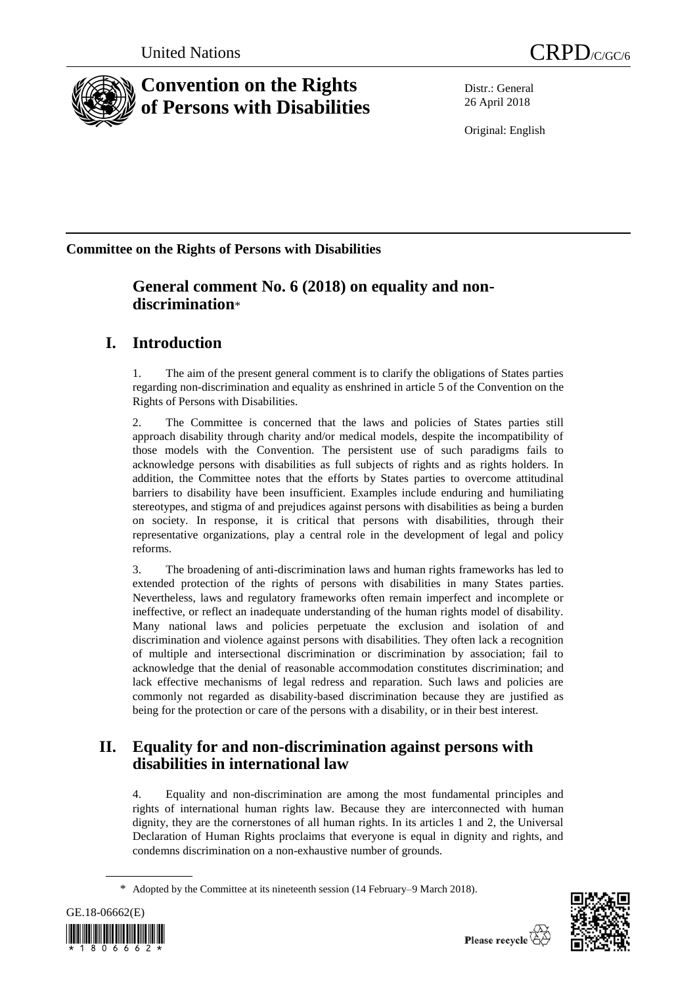

# **Convention on the Rights of Persons with Disabilities**

Distr.: General 26 April 2018

Original: English

**Committee on the Rights of Persons with Disabilities**

## **General comment No. 6 (2018) on equality and nondiscrimination**\*

## **I. Introduction**

1. The aim of the present general comment is to clarify the obligations of States parties regarding non-discrimination and equality as enshrined in article 5 of the Convention on the Rights of Persons with Disabilities.

2. The Committee is concerned that the laws and policies of States parties still approach disability through charity and/or medical models, despite the incompatibility of those models with the Convention. The persistent use of such paradigms fails to acknowledge persons with disabilities as full subjects of rights and as rights holders. In addition, the Committee notes that the efforts by States parties to overcome attitudinal barriers to disability have been insufficient. Examples include enduring and humiliating stereotypes, and stigma of and prejudices against persons with disabilities as being a burden on society. In response, it is critical that persons with disabilities, through their representative organizations, play a central role in the development of legal and policy reforms.

3. The broadening of anti-discrimination laws and human rights frameworks has led to extended protection of the rights of persons with disabilities in many States parties. Nevertheless, laws and regulatory frameworks often remain imperfect and incomplete or ineffective, or reflect an inadequate understanding of the human rights model of disability. Many national laws and policies perpetuate the exclusion and isolation of and discrimination and violence against persons with disabilities. They often lack a recognition of multiple and intersectional discrimination or discrimination by association; fail to acknowledge that the denial of reasonable accommodation constitutes discrimination; and lack effective mechanisms of legal redress and reparation. Such laws and policies are commonly not regarded as disability-based discrimination because they are justified as being for the protection or care of the persons with a disability, or in their best interest.

## **II. Equality for and non-discrimination against persons with disabilities in international law**

4. Equality and non-discrimination are among the most fundamental principles and rights of international human rights law. Because they are interconnected with human dignity, they are the cornerstones of all human rights. In its articles 1 and 2, the Universal Declaration of Human Rights proclaims that everyone is equal in dignity and rights, and condemns discrimination on a non-exhaustive number of grounds.

<sup>\*</sup> Adopted by the Committee at its nineteenth session (14 February–9 March 2018).



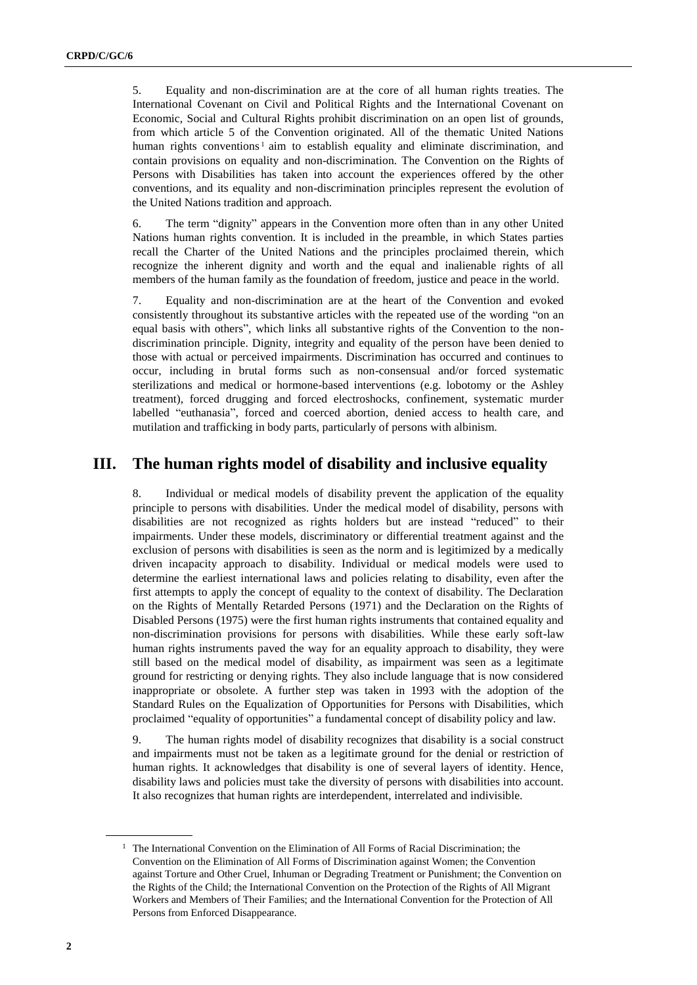5. Equality and non-discrimination are at the core of all human rights treaties. The International Covenant on Civil and Political Rights and the International Covenant on Economic, Social and Cultural Rights prohibit discrimination on an open list of grounds, from which article 5 of the Convention originated. All of the thematic United Nations human rights conventions<sup>1</sup> aim to establish equality and eliminate discrimination, and contain provisions on equality and non-discrimination. The Convention on the Rights of Persons with Disabilities has taken into account the experiences offered by the other conventions, and its equality and non-discrimination principles represent the evolution of the United Nations tradition and approach.

6. The term "dignity" appears in the Convention more often than in any other United Nations human rights convention. It is included in the preamble, in which States parties recall the Charter of the United Nations and the principles proclaimed therein, which recognize the inherent dignity and worth and the equal and inalienable rights of all members of the human family as the foundation of freedom, justice and peace in the world.

7. Equality and non-discrimination are at the heart of the Convention and evoked consistently throughout its substantive articles with the repeated use of the wording "on an equal basis with others", which links all substantive rights of the Convention to the nondiscrimination principle. Dignity, integrity and equality of the person have been denied to those with actual or perceived impairments. Discrimination has occurred and continues to occur, including in brutal forms such as non-consensual and/or forced systematic sterilizations and medical or hormone-based interventions (e.g. lobotomy or the Ashley treatment), forced drugging and forced electroshocks, confinement, systematic murder labelled "euthanasia", forced and coerced abortion, denied access to health care, and mutilation and trafficking in body parts, particularly of persons with albinism.

### **III. The human rights model of disability and inclusive equality**

8. Individual or medical models of disability prevent the application of the equality principle to persons with disabilities. Under the medical model of disability, persons with disabilities are not recognized as rights holders but are instead "reduced" to their impairments. Under these models, discriminatory or differential treatment against and the exclusion of persons with disabilities is seen as the norm and is legitimized by a medically driven incapacity approach to disability. Individual or medical models were used to determine the earliest international laws and policies relating to disability, even after the first attempts to apply the concept of equality to the context of disability. The Declaration on the Rights of Mentally Retarded Persons (1971) and the Declaration on the Rights of Disabled Persons (1975) were the first human rights instruments that contained equality and non-discrimination provisions for persons with disabilities. While these early soft-law human rights instruments paved the way for an equality approach to disability, they were still based on the medical model of disability, as impairment was seen as a legitimate ground for restricting or denying rights. They also include language that is now considered inappropriate or obsolete. A further step was taken in 1993 with the adoption of the Standard Rules on the Equalization of Opportunities for Persons with Disabilities, which proclaimed "equality of opportunities" a fundamental concept of disability policy and law.

9. The human rights model of disability recognizes that disability is a social construct and impairments must not be taken as a legitimate ground for the denial or restriction of human rights. It acknowledges that disability is one of several layers of identity. Hence, disability laws and policies must take the diversity of persons with disabilities into account. It also recognizes that human rights are interdependent, interrelated and indivisible.

 $1$  The International Convention on the Elimination of All Forms of Racial Discrimination; the Convention on the Elimination of All Forms of Discrimination against Women; the Convention against Torture and Other Cruel, Inhuman or Degrading Treatment or Punishment; the Convention on the Rights of the Child; the International Convention on the Protection of the Rights of All Migrant Workers and Members of Their Families; and the International Convention for the Protection of All Persons from Enforced Disappearance.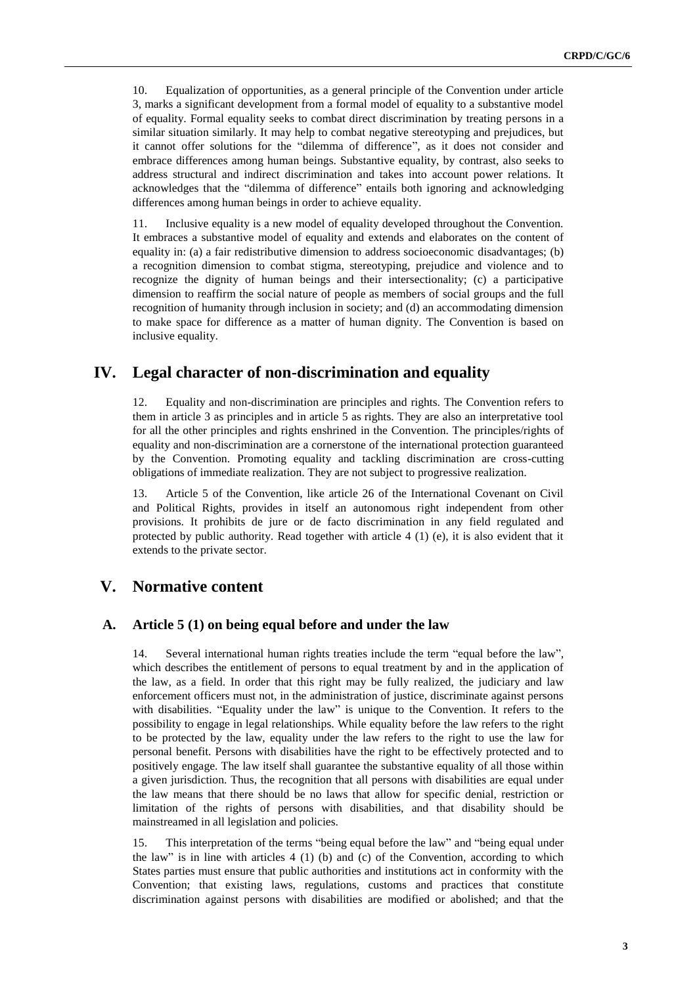10. Equalization of opportunities, as a general principle of the Convention under article 3, marks a significant development from a formal model of equality to a substantive model of equality. Formal equality seeks to combat direct discrimination by treating persons in a similar situation similarly. It may help to combat negative stereotyping and prejudices, but it cannot offer solutions for the "dilemma of difference", as it does not consider and embrace differences among human beings. Substantive equality, by contrast, also seeks to address structural and indirect discrimination and takes into account power relations. It acknowledges that the "dilemma of difference" entails both ignoring and acknowledging differences among human beings in order to achieve equality.

11. Inclusive equality is a new model of equality developed throughout the Convention. It embraces a substantive model of equality and extends and elaborates on the content of equality in: (a) a fair redistributive dimension to address socioeconomic disadvantages; (b) a recognition dimension to combat stigma, stereotyping, prejudice and violence and to recognize the dignity of human beings and their intersectionality; (c) a participative dimension to reaffirm the social nature of people as members of social groups and the full recognition of humanity through inclusion in society; and (d) an accommodating dimension to make space for difference as a matter of human dignity. The Convention is based on inclusive equality.

#### **IV. Legal character of non-discrimination and equality**

12. Equality and non-discrimination are principles and rights. The Convention refers to them in article 3 as principles and in article 5 as rights. They are also an interpretative tool for all the other principles and rights enshrined in the Convention. The principles/rights of equality and non-discrimination are a cornerstone of the international protection guaranteed by the Convention. Promoting equality and tackling discrimination are cross-cutting obligations of immediate realization. They are not subject to progressive realization.

13. Article 5 of the Convention, like article 26 of the International Covenant on Civil and Political Rights, provides in itself an autonomous right independent from other provisions. It prohibits de jure or de facto discrimination in any field regulated and protected by public authority. Read together with article 4 (1) (e), it is also evident that it extends to the private sector.

### **V. Normative content**

#### **A. Article 5 (1) on being equal before and under the law**

14. Several international human rights treaties include the term "equal before the law", which describes the entitlement of persons to equal treatment by and in the application of the law, as a field. In order that this right may be fully realized, the judiciary and law enforcement officers must not, in the administration of justice, discriminate against persons with disabilities. "Equality under the law" is unique to the Convention. It refers to the possibility to engage in legal relationships. While equality before the law refers to the right to be protected by the law, equality under the law refers to the right to use the law for personal benefit. Persons with disabilities have the right to be effectively protected and to positively engage. The law itself shall guarantee the substantive equality of all those within a given jurisdiction. Thus, the recognition that all persons with disabilities are equal under the law means that there should be no laws that allow for specific denial, restriction or limitation of the rights of persons with disabilities, and that disability should be mainstreamed in all legislation and policies.

15. This interpretation of the terms "being equal before the law" and "being equal under the law" is in line with articles  $4 \left( 1 \right)$  (b) and (c) of the Convention, according to which States parties must ensure that public authorities and institutions act in conformity with the Convention; that existing laws, regulations, customs and practices that constitute discrimination against persons with disabilities are modified or abolished; and that the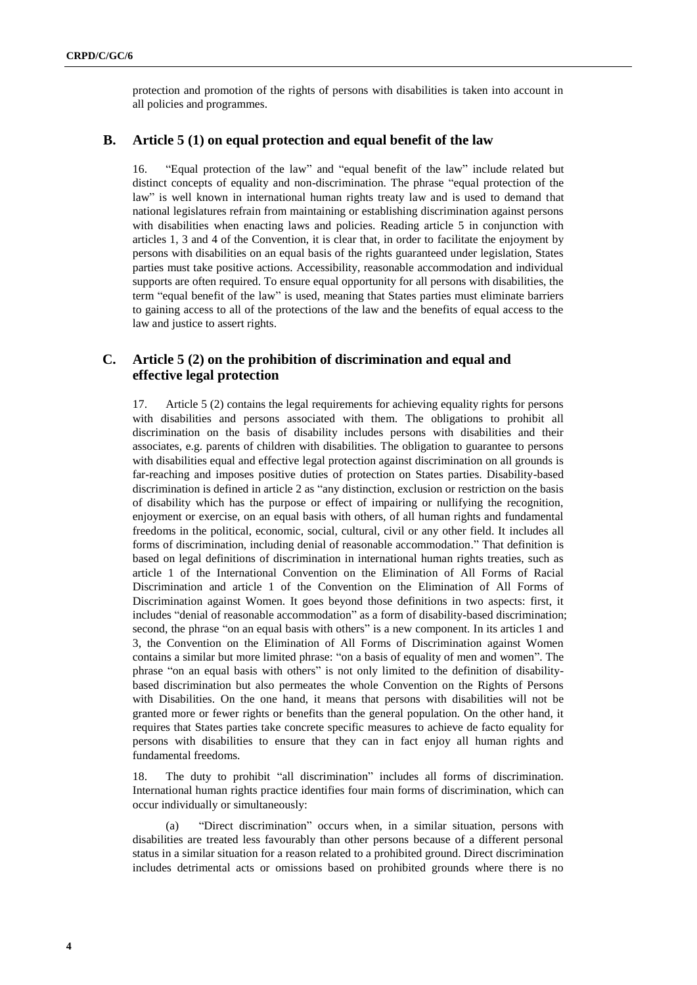protection and promotion of the rights of persons with disabilities is taken into account in all policies and programmes.

#### **B. Article 5 (1) on equal protection and equal benefit of the law**

16. "Equal protection of the law" and "equal benefit of the law" include related but distinct concepts of equality and non-discrimination. The phrase "equal protection of the law" is well known in international human rights treaty law and is used to demand that national legislatures refrain from maintaining or establishing discrimination against persons with disabilities when enacting laws and policies. Reading article 5 in conjunction with articles 1, 3 and 4 of the Convention, it is clear that, in order to facilitate the enjoyment by persons with disabilities on an equal basis of the rights guaranteed under legislation, States parties must take positive actions. Accessibility, reasonable accommodation and individual supports are often required. To ensure equal opportunity for all persons with disabilities, the term "equal benefit of the law" is used, meaning that States parties must eliminate barriers to gaining access to all of the protections of the law and the benefits of equal access to the law and justice to assert rights.

#### **C. Article 5 (2) on the prohibition of discrimination and equal and effective legal protection**

17. Article 5 (2) contains the legal requirements for achieving equality rights for persons with disabilities and persons associated with them. The obligations to prohibit all discrimination on the basis of disability includes persons with disabilities and their associates, e.g. parents of children with disabilities. The obligation to guarantee to persons with disabilities equal and effective legal protection against discrimination on all grounds is far-reaching and imposes positive duties of protection on States parties. Disability-based discrimination is defined in article 2 as "any distinction, exclusion or restriction on the basis of disability which has the purpose or effect of impairing or nullifying the recognition, enjoyment or exercise, on an equal basis with others, of all human rights and fundamental freedoms in the political, economic, social, cultural, civil or any other field. It includes all forms of discrimination, including denial of reasonable accommodation." That definition is based on legal definitions of discrimination in international human rights treaties, such as article 1 of the International Convention on the Elimination of All Forms of Racial Discrimination and article 1 of the Convention on the Elimination of All Forms of Discrimination against Women. It goes beyond those definitions in two aspects: first, it includes "denial of reasonable accommodation" as a form of disability-based discrimination; second, the phrase "on an equal basis with others" is a new component. In its articles 1 and 3, the Convention on the Elimination of All Forms of Discrimination against Women contains a similar but more limited phrase: "on a basis of equality of men and women". The phrase "on an equal basis with others" is not only limited to the definition of disabilitybased discrimination but also permeates the whole Convention on the Rights of Persons with Disabilities. On the one hand, it means that persons with disabilities will not be granted more or fewer rights or benefits than the general population. On the other hand, it requires that States parties take concrete specific measures to achieve de facto equality for persons with disabilities to ensure that they can in fact enjoy all human rights and fundamental freedoms.

18. The duty to prohibit "all discrimination" includes all forms of discrimination. International human rights practice identifies four main forms of discrimination, which can occur individually or simultaneously:

(a) "Direct discrimination" occurs when, in a similar situation, persons with disabilities are treated less favourably than other persons because of a different personal status in a similar situation for a reason related to a prohibited ground. Direct discrimination includes detrimental acts or omissions based on prohibited grounds where there is no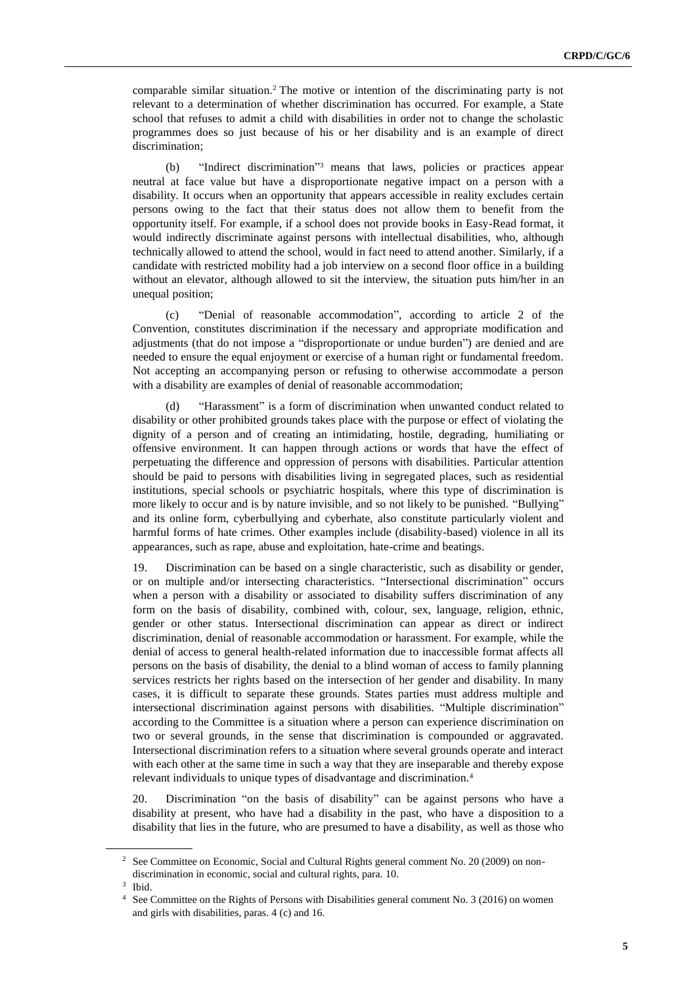comparable similar situation.<sup>2</sup> The motive or intention of the discriminating party is not relevant to a determination of whether discrimination has occurred. For example, a State school that refuses to admit a child with disabilities in order not to change the scholastic programmes does so just because of his or her disability and is an example of direct discrimination;

(b) "Indirect discrimination" <sup>3</sup> means that laws, policies or practices appear neutral at face value but have a disproportionate negative impact on a person with a disability. It occurs when an opportunity that appears accessible in reality excludes certain persons owing to the fact that their status does not allow them to benefit from the opportunity itself. For example, if a school does not provide books in Easy-Read format, it would indirectly discriminate against persons with intellectual disabilities, who, although technically allowed to attend the school, would in fact need to attend another. Similarly, if a candidate with restricted mobility had a job interview on a second floor office in a building without an elevator, although allowed to sit the interview, the situation puts him/her in an unequal position;

(c) "Denial of reasonable accommodation", according to article 2 of the Convention, constitutes discrimination if the necessary and appropriate modification and adjustments (that do not impose a "disproportionate or undue burden") are denied and are needed to ensure the equal enjoyment or exercise of a human right or fundamental freedom. Not accepting an accompanying person or refusing to otherwise accommodate a person with a disability are examples of denial of reasonable accommodation;

(d) "Harassment" is a form of discrimination when unwanted conduct related to disability or other prohibited grounds takes place with the purpose or effect of violating the dignity of a person and of creating an intimidating, hostile, degrading, humiliating or offensive environment. It can happen through actions or words that have the effect of perpetuating the difference and oppression of persons with disabilities. Particular attention should be paid to persons with disabilities living in segregated places, such as residential institutions, special schools or psychiatric hospitals, where this type of discrimination is more likely to occur and is by nature invisible, and so not likely to be punished. "Bullying" and its online form, cyberbullying and cyberhate, also constitute particularly violent and harmful forms of hate crimes. Other examples include (disability-based) violence in all its appearances, such as rape, abuse and exploitation, hate-crime and beatings.

19. Discrimination can be based on a single characteristic, such as disability or gender, or on multiple and/or intersecting characteristics. "Intersectional discrimination" occurs when a person with a disability or associated to disability suffers discrimination of any form on the basis of disability, combined with, colour, sex, language, religion, ethnic, gender or other status. Intersectional discrimination can appear as direct or indirect discrimination, denial of reasonable accommodation or harassment. For example, while the denial of access to general health-related information due to inaccessible format affects all persons on the basis of disability, the denial to a blind woman of access to family planning services restricts her rights based on the intersection of her gender and disability. In many cases, it is difficult to separate these grounds. States parties must address multiple and intersectional discrimination against persons with disabilities. "Multiple discrimination" according to the Committee is a situation where a person can experience discrimination on two or several grounds, in the sense that discrimination is compounded or aggravated. Intersectional discrimination refers to a situation where several grounds operate and interact with each other at the same time in such a way that they are inseparable and thereby expose relevant individuals to unique types of disadvantage and discrimination.<sup>4</sup>

20. Discrimination "on the basis of disability" can be against persons who have a disability at present, who have had a disability in the past, who have a disposition to a disability that lies in the future, who are presumed to have a disability, as well as those who

<sup>2</sup> See Committee on Economic, Social and Cultural Rights general comment No. 20 (2009) on nondiscrimination in economic, social and cultural rights, para. 10.

<sup>3</sup> Ibid.

<sup>4</sup> See Committee on the Rights of Persons with Disabilities general comment No. 3 (2016) on women and girls with disabilities, paras. 4 (c) and 16.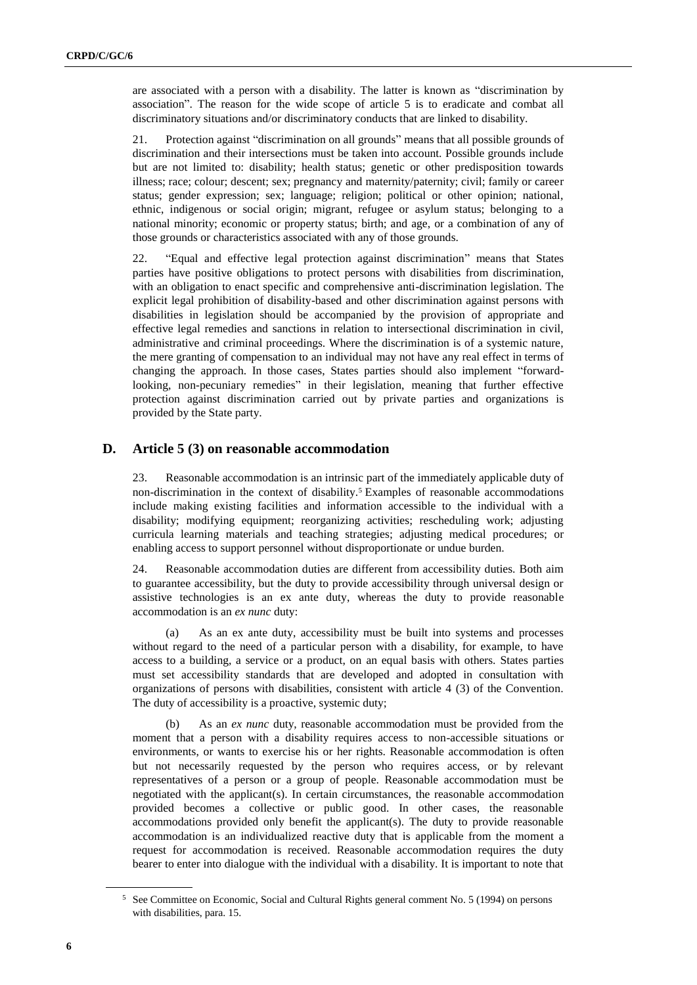are associated with a person with a disability. The latter is known as "discrimination by association". The reason for the wide scope of article 5 is to eradicate and combat all discriminatory situations and/or discriminatory conducts that are linked to disability.

21. Protection against "discrimination on all grounds" means that all possible grounds of discrimination and their intersections must be taken into account. Possible grounds include but are not limited to: disability; health status; genetic or other predisposition towards illness; race; colour; descent; sex; pregnancy and maternity/paternity; civil; family or career status; gender expression; sex; language; religion; political or other opinion; national, ethnic, indigenous or social origin; migrant, refugee or asylum status; belonging to a national minority; economic or property status; birth; and age, or a combination of any of those grounds or characteristics associated with any of those grounds.

22. "Equal and effective legal protection against discrimination" means that States parties have positive obligations to protect persons with disabilities from discrimination, with an obligation to enact specific and comprehensive anti-discrimination legislation. The explicit legal prohibition of disability-based and other discrimination against persons with disabilities in legislation should be accompanied by the provision of appropriate and effective legal remedies and sanctions in relation to intersectional discrimination in civil, administrative and criminal proceedings. Where the discrimination is of a systemic nature, the mere granting of compensation to an individual may not have any real effect in terms of changing the approach. In those cases, States parties should also implement "forwardlooking, non-pecuniary remedies" in their legislation, meaning that further effective protection against discrimination carried out by private parties and organizations is provided by the State party.

#### **D. Article 5 (3) on reasonable accommodation**

23. Reasonable accommodation is an intrinsic part of the immediately applicable duty of non-discrimination in the context of disability.<sup>5</sup> Examples of reasonable accommodations include making existing facilities and information accessible to the individual with a disability; modifying equipment; reorganizing activities; rescheduling work; adjusting curricula learning materials and teaching strategies; adjusting medical procedures; or enabling access to support personnel without disproportionate or undue burden.

24. Reasonable accommodation duties are different from accessibility duties. Both aim to guarantee accessibility, but the duty to provide accessibility through universal design or assistive technologies is an ex ante duty, whereas the duty to provide reasonable accommodation is an *ex nunc* duty:

(a) As an ex ante duty, accessibility must be built into systems and processes without regard to the need of a particular person with a disability, for example, to have access to a building, a service or a product, on an equal basis with others. States parties must set accessibility standards that are developed and adopted in consultation with organizations of persons with disabilities, consistent with article 4 (3) of the Convention. The duty of accessibility is a proactive, systemic duty;

(b) As an *ex nunc* duty, reasonable accommodation must be provided from the moment that a person with a disability requires access to non-accessible situations or environments, or wants to exercise his or her rights. Reasonable accommodation is often but not necessarily requested by the person who requires access, or by relevant representatives of a person or a group of people. Reasonable accommodation must be negotiated with the applicant(s). In certain circumstances, the reasonable accommodation provided becomes a collective or public good. In other cases, the reasonable accommodations provided only benefit the applicant(s). The duty to provide reasonable accommodation is an individualized reactive duty that is applicable from the moment a request for accommodation is received. Reasonable accommodation requires the duty bearer to enter into dialogue with the individual with a disability. It is important to note that

<sup>5</sup> See Committee on Economic, Social and Cultural Rights general comment No. 5 (1994) on persons with disabilities, para. 15.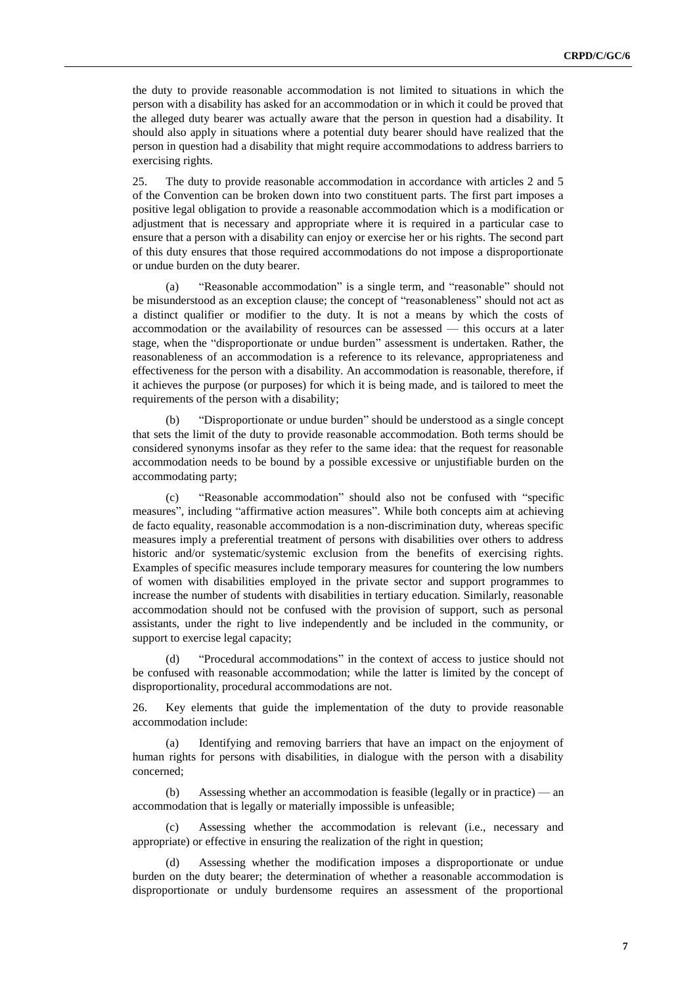the duty to provide reasonable accommodation is not limited to situations in which the person with a disability has asked for an accommodation or in which it could be proved that the alleged duty bearer was actually aware that the person in question had a disability. It should also apply in situations where a potential duty bearer should have realized that the person in question had a disability that might require accommodations to address barriers to exercising rights.

25. The duty to provide reasonable accommodation in accordance with articles 2 and 5 of the Convention can be broken down into two constituent parts. The first part imposes a positive legal obligation to provide a reasonable accommodation which is a modification or adjustment that is necessary and appropriate where it is required in a particular case to ensure that a person with a disability can enjoy or exercise her or his rights. The second part of this duty ensures that those required accommodations do not impose a disproportionate or undue burden on the duty bearer.

(a) "Reasonable accommodation" is a single term, and "reasonable" should not be misunderstood as an exception clause; the concept of "reasonableness" should not act as a distinct qualifier or modifier to the duty. It is not a means by which the costs of accommodation or the availability of resources can be assessed — this occurs at a later stage, when the "disproportionate or undue burden" assessment is undertaken. Rather, the reasonableness of an accommodation is a reference to its relevance, appropriateness and effectiveness for the person with a disability. An accommodation is reasonable, therefore, if it achieves the purpose (or purposes) for which it is being made, and is tailored to meet the requirements of the person with a disability;

(b) "Disproportionate or undue burden" should be understood as a single concept that sets the limit of the duty to provide reasonable accommodation. Both terms should be considered synonyms insofar as they refer to the same idea: that the request for reasonable accommodation needs to be bound by a possible excessive or unjustifiable burden on the accommodating party;

(c) "Reasonable accommodation" should also not be confused with "specific measures", including "affirmative action measures". While both concepts aim at achieving de facto equality, reasonable accommodation is a non-discrimination duty, whereas specific measures imply a preferential treatment of persons with disabilities over others to address historic and/or systematic/systemic exclusion from the benefits of exercising rights. Examples of specific measures include temporary measures for countering the low numbers of women with disabilities employed in the private sector and support programmes to increase the number of students with disabilities in tertiary education. Similarly, reasonable accommodation should not be confused with the provision of support, such as personal assistants, under the right to live independently and be included in the community, or support to exercise legal capacity;

(d) "Procedural accommodations" in the context of access to justice should not be confused with reasonable accommodation; while the latter is limited by the concept of disproportionality, procedural accommodations are not.

26. Key elements that guide the implementation of the duty to provide reasonable accommodation include:

(a) Identifying and removing barriers that have an impact on the enjoyment of human rights for persons with disabilities, in dialogue with the person with a disability concerned;

(b) Assessing whether an accommodation is feasible (legally or in practice) — an accommodation that is legally or materially impossible is unfeasible;

(c) Assessing whether the accommodation is relevant (i.e., necessary and appropriate) or effective in ensuring the realization of the right in question;

Assessing whether the modification imposes a disproportionate or undue burden on the duty bearer; the determination of whether a reasonable accommodation is disproportionate or unduly burdensome requires an assessment of the proportional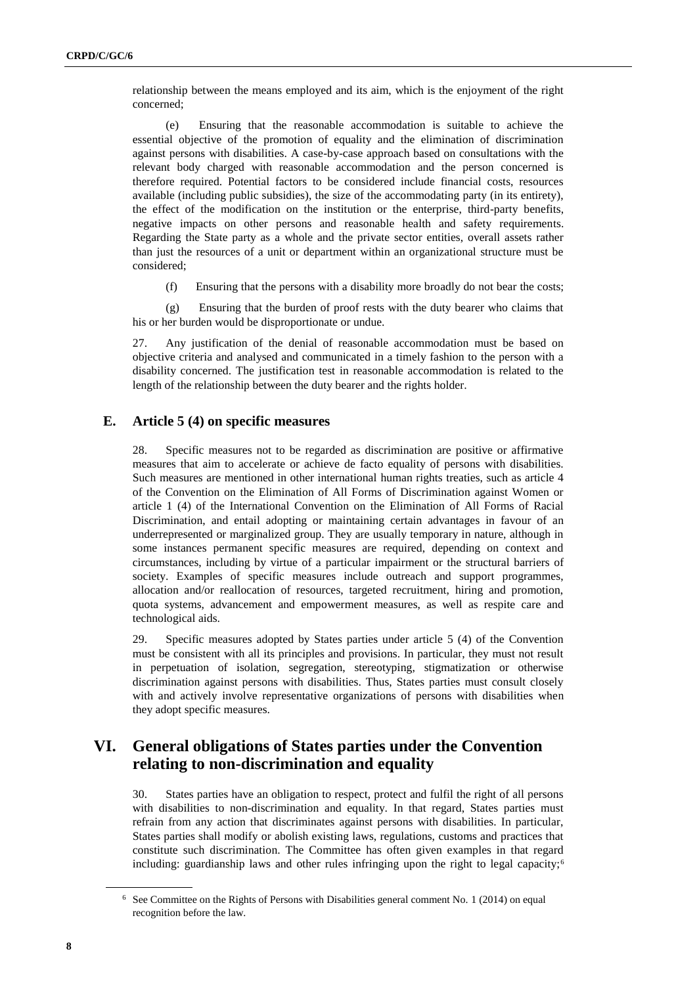relationship between the means employed and its aim, which is the enjoyment of the right concerned;

(e) Ensuring that the reasonable accommodation is suitable to achieve the essential objective of the promotion of equality and the elimination of discrimination against persons with disabilities. A case-by-case approach based on consultations with the relevant body charged with reasonable accommodation and the person concerned is therefore required. Potential factors to be considered include financial costs, resources available (including public subsidies), the size of the accommodating party (in its entirety), the effect of the modification on the institution or the enterprise, third-party benefits, negative impacts on other persons and reasonable health and safety requirements. Regarding the State party as a whole and the private sector entities, overall assets rather than just the resources of a unit or department within an organizational structure must be considered;

(f) Ensuring that the persons with a disability more broadly do not bear the costs;

(g) Ensuring that the burden of proof rests with the duty bearer who claims that his or her burden would be disproportionate or undue.

27. Any justification of the denial of reasonable accommodation must be based on objective criteria and analysed and communicated in a timely fashion to the person with a disability concerned. The justification test in reasonable accommodation is related to the length of the relationship between the duty bearer and the rights holder.

#### **E. Article 5 (4) on specific measures**

28. Specific measures not to be regarded as discrimination are positive or affirmative measures that aim to accelerate or achieve de facto equality of persons with disabilities. Such measures are mentioned in other international human rights treaties, such as article 4 of the Convention on the Elimination of All Forms of Discrimination against Women or article 1 (4) of the International Convention on the Elimination of All Forms of Racial Discrimination, and entail adopting or maintaining certain advantages in favour of an underrepresented or marginalized group. They are usually temporary in nature, although in some instances permanent specific measures are required, depending on context and circumstances, including by virtue of a particular impairment or the structural barriers of society. Examples of specific measures include outreach and support programmes, allocation and/or reallocation of resources, targeted recruitment, hiring and promotion, quota systems, advancement and empowerment measures, as well as respite care and technological aids.

29. Specific measures adopted by States parties under article 5 (4) of the Convention must be consistent with all its principles and provisions. In particular, they must not result in perpetuation of isolation, segregation, stereotyping, stigmatization or otherwise discrimination against persons with disabilities. Thus, States parties must consult closely with and actively involve representative organizations of persons with disabilities when they adopt specific measures.

### **VI. General obligations of States parties under the Convention relating to non-discrimination and equality**

30. States parties have an obligation to respect, protect and fulfil the right of all persons with disabilities to non-discrimination and equality. In that regard, States parties must refrain from any action that discriminates against persons with disabilities. In particular, States parties shall modify or abolish existing laws, regulations, customs and practices that constitute such discrimination. The Committee has often given examples in that regard including: guardianship laws and other rules infringing upon the right to legal capacity;<sup>6</sup>

<sup>&</sup>lt;sup>6</sup> See Committee on the Rights of Persons with Disabilities general comment No. 1 (2014) on equal recognition before the law.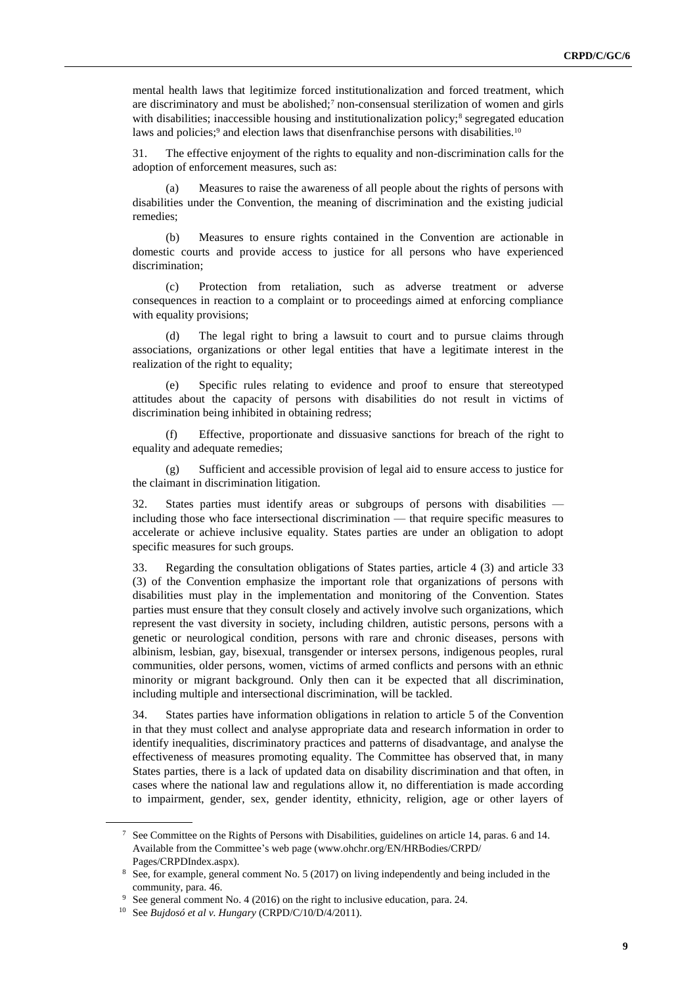mental health laws that legitimize forced institutionalization and forced treatment, which are discriminatory and must be abolished;<sup>7</sup> non-consensual sterilization of women and girls with disabilities; inaccessible housing and institutionalization policy;<sup>8</sup> segregated education laws and policies;<sup>9</sup> and election laws that disenfranchise persons with disabilities.<sup>10</sup>

31. The effective enjoyment of the rights to equality and non-discrimination calls for the adoption of enforcement measures, such as:

(a) Measures to raise the awareness of all people about the rights of persons with disabilities under the Convention, the meaning of discrimination and the existing judicial remedies;

(b) Measures to ensure rights contained in the Convention are actionable in domestic courts and provide access to justice for all persons who have experienced discrimination;

(c) Protection from retaliation, such as adverse treatment or adverse consequences in reaction to a complaint or to proceedings aimed at enforcing compliance with equality provisions;

(d) The legal right to bring a lawsuit to court and to pursue claims through associations, organizations or other legal entities that have a legitimate interest in the realization of the right to equality;

(e) Specific rules relating to evidence and proof to ensure that stereotyped attitudes about the capacity of persons with disabilities do not result in victims of discrimination being inhibited in obtaining redress;

(f) Effective, proportionate and dissuasive sanctions for breach of the right to equality and adequate remedies;

(g) Sufficient and accessible provision of legal aid to ensure access to justice for the claimant in discrimination litigation.

32. States parties must identify areas or subgroups of persons with disabilities including those who face intersectional discrimination — that require specific measures to accelerate or achieve inclusive equality. States parties are under an obligation to adopt specific measures for such groups.

33. Regarding the consultation obligations of States parties, article 4 (3) and article 33 (3) of the Convention emphasize the important role that organizations of persons with disabilities must play in the implementation and monitoring of the Convention. States parties must ensure that they consult closely and actively involve such organizations, which represent the vast diversity in society, including children, autistic persons, persons with a genetic or neurological condition, persons with rare and chronic diseases, persons with albinism, lesbian, gay, bisexual, transgender or intersex persons, indigenous peoples, rural communities, older persons, women, victims of armed conflicts and persons with an ethnic minority or migrant background. Only then can it be expected that all discrimination, including multiple and intersectional discrimination, will be tackled.

34. States parties have information obligations in relation to article 5 of the Convention in that they must collect and analyse appropriate data and research information in order to identify inequalities, discriminatory practices and patterns of disadvantage, and analyse the effectiveness of measures promoting equality. The Committee has observed that, in many States parties, there is a lack of updated data on disability discrimination and that often, in cases where the national law and regulations allow it, no differentiation is made according to impairment, gender, sex, gender identity, ethnicity, religion, age or other layers of

<sup>7</sup> See Committee on the Rights of Persons with Disabilities, guidelines on article 14, paras. 6 and 14. Available from the Committee's web page (www.ohchr.org/EN/HRBodies/CRPD/ Pages/CRPDIndex.aspx).

<sup>8</sup> See, for example, general comment No. 5 (2017) on living independently and being included in the community, para. 46.

<sup>&</sup>lt;sup>9</sup> See general comment No. 4 (2016) on the right to inclusive education, para. 24.

<sup>10</sup> See *Bujdosó et al v. Hungary* (CRPD/C/10/D/4/2011).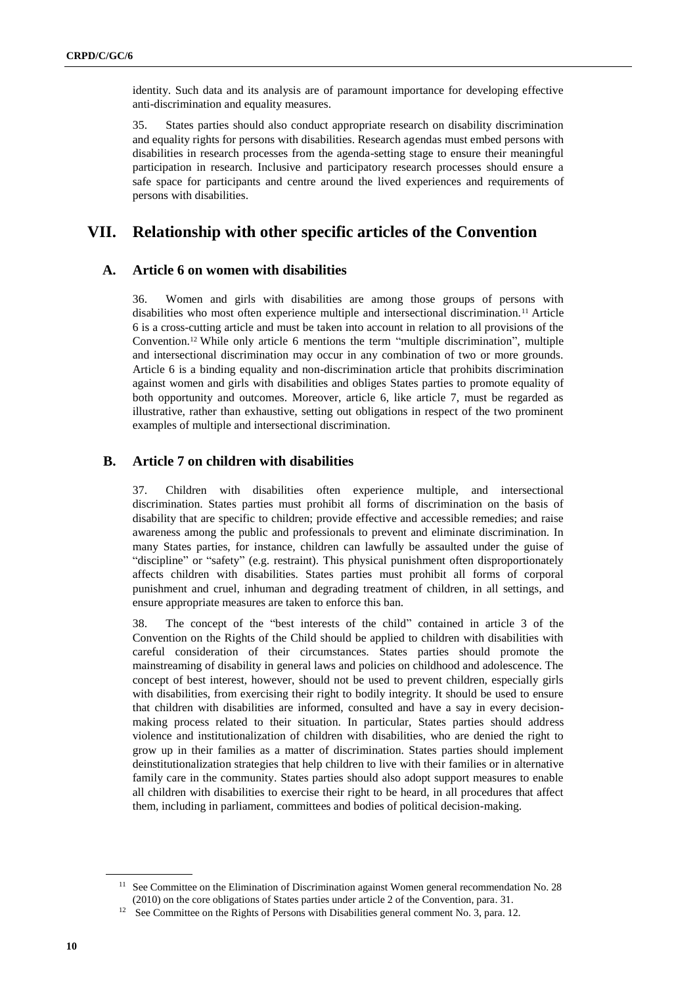identity. Such data and its analysis are of paramount importance for developing effective anti-discrimination and equality measures.

35. States parties should also conduct appropriate research on disability discrimination and equality rights for persons with disabilities. Research agendas must embed persons with disabilities in research processes from the agenda-setting stage to ensure their meaningful participation in research. Inclusive and participatory research processes should ensure a safe space for participants and centre around the lived experiences and requirements of persons with disabilities.

## **VII. Relationship with other specific articles of the Convention**

#### **A. Article 6 on women with disabilities**

36. Women and girls with disabilities are among those groups of persons with disabilities who most often experience multiple and intersectional discrimination.<sup>11</sup> Article 6 is a cross-cutting article and must be taken into account in relation to all provisions of the Convention.<sup>12</sup> While only article 6 mentions the term "multiple discrimination", multiple and intersectional discrimination may occur in any combination of two or more grounds. Article 6 is a binding equality and non-discrimination article that prohibits discrimination against women and girls with disabilities and obliges States parties to promote equality of both opportunity and outcomes. Moreover, article 6, like article 7, must be regarded as illustrative, rather than exhaustive, setting out obligations in respect of the two prominent examples of multiple and intersectional discrimination.

#### **B. Article 7 on children with disabilities**

37. Children with disabilities often experience multiple, and intersectional discrimination. States parties must prohibit all forms of discrimination on the basis of disability that are specific to children; provide effective and accessible remedies; and raise awareness among the public and professionals to prevent and eliminate discrimination. In many States parties, for instance, children can lawfully be assaulted under the guise of "discipline" or "safety" (e.g. restraint). This physical punishment often disproportionately affects children with disabilities. States parties must prohibit all forms of corporal punishment and cruel, inhuman and degrading treatment of children, in all settings, and ensure appropriate measures are taken to enforce this ban.

38. The concept of the "best interests of the child" contained in article 3 of the Convention on the Rights of the Child should be applied to children with disabilities with careful consideration of their circumstances. States parties should promote the mainstreaming of disability in general laws and policies on childhood and adolescence. The concept of best interest, however, should not be used to prevent children, especially girls with disabilities, from exercising their right to bodily integrity. It should be used to ensure that children with disabilities are informed, consulted and have a say in every decisionmaking process related to their situation. In particular, States parties should address violence and institutionalization of children with disabilities, who are denied the right to grow up in their families as a matter of discrimination. States parties should implement deinstitutionalization strategies that help children to live with their families or in alternative family care in the community. States parties should also adopt support measures to enable all children with disabilities to exercise their right to be heard, in all procedures that affect them, including in parliament, committees and bodies of political decision-making.

<sup>&</sup>lt;sup>11</sup> See Committee on the Elimination of Discrimination against Women general recommendation No. 28 (2010) on the core obligations of States parties under article 2 of the Convention, para. 31.

<sup>&</sup>lt;sup>12</sup> See Committee on the Rights of Persons with Disabilities general comment No. 3, para. 12.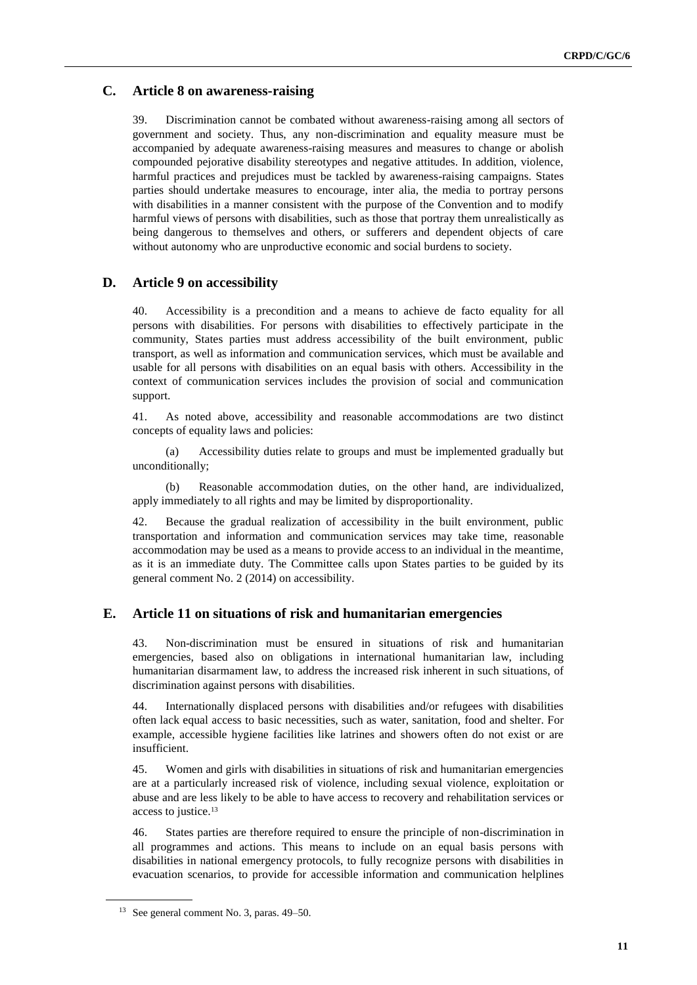#### **C. Article 8 on awareness-raising**

39. Discrimination cannot be combated without awareness-raising among all sectors of government and society. Thus, any non-discrimination and equality measure must be accompanied by adequate awareness-raising measures and measures to change or abolish compounded pejorative disability stereotypes and negative attitudes. In addition, violence, harmful practices and prejudices must be tackled by awareness-raising campaigns. States parties should undertake measures to encourage, inter alia, the media to portray persons with disabilities in a manner consistent with the purpose of the Convention and to modify harmful views of persons with disabilities, such as those that portray them unrealistically as being dangerous to themselves and others, or sufferers and dependent objects of care without autonomy who are unproductive economic and social burdens to society.

#### **D. Article 9 on accessibility**

40. Accessibility is a precondition and a means to achieve de facto equality for all persons with disabilities. For persons with disabilities to effectively participate in the community, States parties must address accessibility of the built environment, public transport, as well as information and communication services, which must be available and usable for all persons with disabilities on an equal basis with others. Accessibility in the context of communication services includes the provision of social and communication support.

41. As noted above, accessibility and reasonable accommodations are two distinct concepts of equality laws and policies:

(a) Accessibility duties relate to groups and must be implemented gradually but unconditionally;

(b) Reasonable accommodation duties, on the other hand, are individualized, apply immediately to all rights and may be limited by disproportionality.

42. Because the gradual realization of accessibility in the built environment, public transportation and information and communication services may take time, reasonable accommodation may be used as a means to provide access to an individual in the meantime, as it is an immediate duty. The Committee calls upon States parties to be guided by its general comment No. 2 (2014) on accessibility.

#### **E. Article 11 on situations of risk and humanitarian emergencies**

43. Non-discrimination must be ensured in situations of risk and humanitarian emergencies, based also on obligations in international humanitarian law, including humanitarian disarmament law, to address the increased risk inherent in such situations, of discrimination against persons with disabilities.

44. Internationally displaced persons with disabilities and/or refugees with disabilities often lack equal access to basic necessities, such as water, sanitation, food and shelter. For example, accessible hygiene facilities like latrines and showers often do not exist or are insufficient.

45. Women and girls with disabilities in situations of risk and humanitarian emergencies are at a particularly increased risk of violence, including sexual violence, exploitation or abuse and are less likely to be able to have access to recovery and rehabilitation services or access to justice.<sup>13</sup>

46. States parties are therefore required to ensure the principle of non-discrimination in all programmes and actions. This means to include on an equal basis persons with disabilities in national emergency protocols, to fully recognize persons with disabilities in evacuation scenarios, to provide for accessible information and communication helplines

<sup>13</sup> See general comment No. 3, paras. 49–50.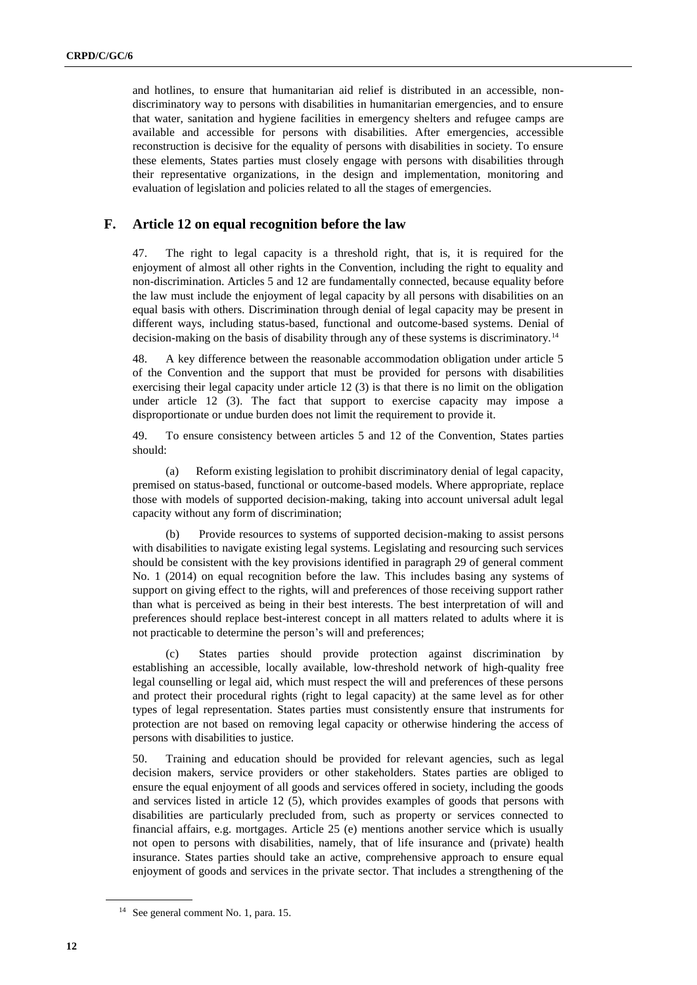and hotlines, to ensure that humanitarian aid relief is distributed in an accessible, nondiscriminatory way to persons with disabilities in humanitarian emergencies, and to ensure that water, sanitation and hygiene facilities in emergency shelters and refugee camps are available and accessible for persons with disabilities. After emergencies, accessible reconstruction is decisive for the equality of persons with disabilities in society. To ensure these elements, States parties must closely engage with persons with disabilities through their representative organizations, in the design and implementation, monitoring and evaluation of legislation and policies related to all the stages of emergencies.

#### **F. Article 12 on equal recognition before the law**

47. The right to legal capacity is a threshold right, that is, it is required for the enjoyment of almost all other rights in the Convention, including the right to equality and non-discrimination. Articles 5 and 12 are fundamentally connected, because equality before the law must include the enjoyment of legal capacity by all persons with disabilities on an equal basis with others. Discrimination through denial of legal capacity may be present in different ways, including status-based, functional and outcome-based systems. Denial of decision-making on the basis of disability through any of these systems is discriminatory.<sup>14</sup>

48. A key difference between the reasonable accommodation obligation under article 5 of the Convention and the support that must be provided for persons with disabilities exercising their legal capacity under article 12 (3) is that there is no limit on the obligation under article 12 (3). The fact that support to exercise capacity may impose a disproportionate or undue burden does not limit the requirement to provide it.

49. To ensure consistency between articles 5 and 12 of the Convention, States parties should:

(a) Reform existing legislation to prohibit discriminatory denial of legal capacity, premised on status-based, functional or outcome-based models. Where appropriate, replace those with models of supported decision-making, taking into account universal adult legal capacity without any form of discrimination;

Provide resources to systems of supported decision-making to assist persons with disabilities to navigate existing legal systems. Legislating and resourcing such services should be consistent with the key provisions identified in paragraph 29 of general comment No. 1 (2014) on equal recognition before the law. This includes basing any systems of support on giving effect to the rights, will and preferences of those receiving support rather than what is perceived as being in their best interests. The best interpretation of will and preferences should replace best-interest concept in all matters related to adults where it is not practicable to determine the person's will and preferences;

(c) States parties should provide protection against discrimination by establishing an accessible, locally available, low-threshold network of high-quality free legal counselling or legal aid, which must respect the will and preferences of these persons and protect their procedural rights (right to legal capacity) at the same level as for other types of legal representation. States parties must consistently ensure that instruments for protection are not based on removing legal capacity or otherwise hindering the access of persons with disabilities to justice.

50. Training and education should be provided for relevant agencies, such as legal decision makers, service providers or other stakeholders. States parties are obliged to ensure the equal enjoyment of all goods and services offered in society, including the goods and services listed in article 12 (5), which provides examples of goods that persons with disabilities are particularly precluded from, such as property or services connected to financial affairs, e.g. mortgages. Article 25 (e) mentions another service which is usually not open to persons with disabilities, namely, that of life insurance and (private) health insurance. States parties should take an active, comprehensive approach to ensure equal enjoyment of goods and services in the private sector. That includes a strengthening of the

<sup>14</sup> See general comment No. 1, para. 15.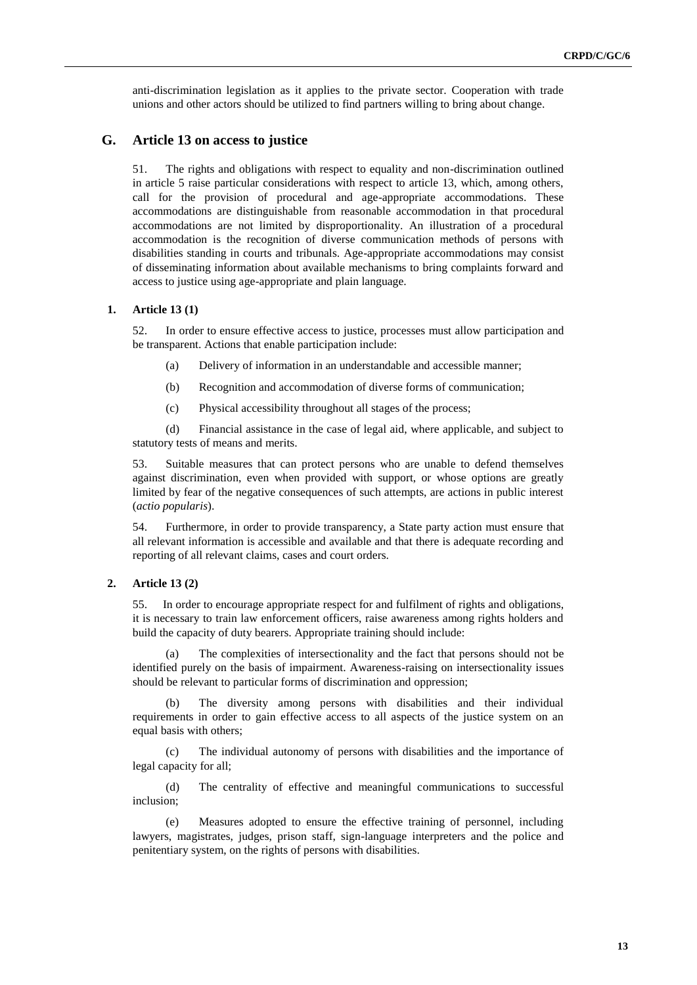anti-discrimination legislation as it applies to the private sector. Cooperation with trade unions and other actors should be utilized to find partners willing to bring about change.

#### **G. Article 13 on access to justice**

51. The rights and obligations with respect to equality and non-discrimination outlined in article 5 raise particular considerations with respect to article 13, which, among others, call for the provision of procedural and age-appropriate accommodations. These accommodations are distinguishable from reasonable accommodation in that procedural accommodations are not limited by disproportionality. An illustration of a procedural accommodation is the recognition of diverse communication methods of persons with disabilities standing in courts and tribunals. Age-appropriate accommodations may consist of disseminating information about available mechanisms to bring complaints forward and access to justice using age-appropriate and plain language.

#### **1. Article 13 (1)**

52. In order to ensure effective access to justice, processes must allow participation and be transparent. Actions that enable participation include:

- (a) Delivery of information in an understandable and accessible manner;
- (b) Recognition and accommodation of diverse forms of communication;
- (c) Physical accessibility throughout all stages of the process;

(d) Financial assistance in the case of legal aid, where applicable, and subject to statutory tests of means and merits.

53. Suitable measures that can protect persons who are unable to defend themselves against discrimination, even when provided with support, or whose options are greatly limited by fear of the negative consequences of such attempts, are actions in public interest (*actio popularis*).

54. Furthermore, in order to provide transparency, a State party action must ensure that all relevant information is accessible and available and that there is adequate recording and reporting of all relevant claims, cases and court orders.

#### **2. Article 13 (2)**

55. In order to encourage appropriate respect for and fulfilment of rights and obligations, it is necessary to train law enforcement officers, raise awareness among rights holders and build the capacity of duty bearers. Appropriate training should include:

The complexities of intersectionality and the fact that persons should not be identified purely on the basis of impairment. Awareness-raising on intersectionality issues should be relevant to particular forms of discrimination and oppression;

(b) The diversity among persons with disabilities and their individual requirements in order to gain effective access to all aspects of the justice system on an equal basis with others;

(c) The individual autonomy of persons with disabilities and the importance of legal capacity for all;

(d) The centrality of effective and meaningful communications to successful inclusion;

(e) Measures adopted to ensure the effective training of personnel, including lawyers, magistrates, judges, prison staff, sign-language interpreters and the police and penitentiary system, on the rights of persons with disabilities.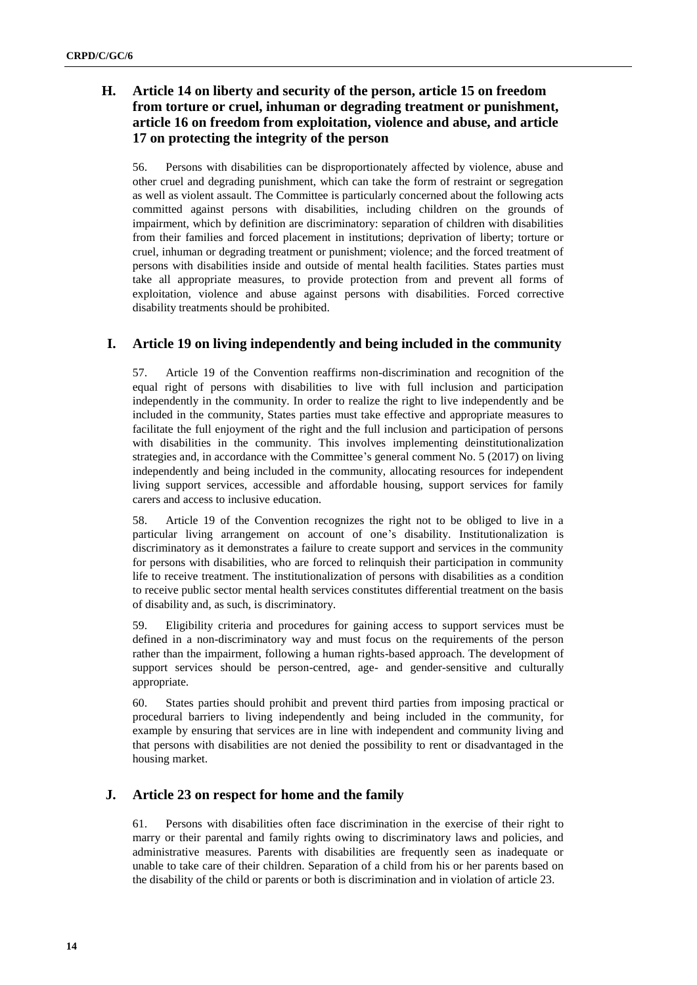#### **H. Article 14 on liberty and security of the person, article 15 on freedom from torture or cruel, inhuman or degrading treatment or punishment, article 16 on freedom from exploitation, violence and abuse, and article 17 on protecting the integrity of the person**

56. Persons with disabilities can be disproportionately affected by violence, abuse and other cruel and degrading punishment, which can take the form of restraint or segregation as well as violent assault. The Committee is particularly concerned about the following acts committed against persons with disabilities, including children on the grounds of impairment, which by definition are discriminatory: separation of children with disabilities from their families and forced placement in institutions; deprivation of liberty; torture or cruel, inhuman or degrading treatment or punishment; violence; and the forced treatment of persons with disabilities inside and outside of mental health facilities. States parties must take all appropriate measures, to provide protection from and prevent all forms of exploitation, violence and abuse against persons with disabilities. Forced corrective disability treatments should be prohibited.

#### **I. Article 19 on living independently and being included in the community**

57. Article 19 of the Convention reaffirms non-discrimination and recognition of the equal right of persons with disabilities to live with full inclusion and participation independently in the community. In order to realize the right to live independently and be included in the community, States parties must take effective and appropriate measures to facilitate the full enjoyment of the right and the full inclusion and participation of persons with disabilities in the community. This involves implementing deinstitutionalization strategies and, in accordance with the Committee's general comment No. 5 (2017) on living independently and being included in the community, allocating resources for independent living support services, accessible and affordable housing, support services for family carers and access to inclusive education.

58. Article 19 of the Convention recognizes the right not to be obliged to live in a particular living arrangement on account of one's disability. Institutionalization is discriminatory as it demonstrates a failure to create support and services in the community for persons with disabilities, who are forced to relinquish their participation in community life to receive treatment. The institutionalization of persons with disabilities as a condition to receive public sector mental health services constitutes differential treatment on the basis of disability and, as such, is discriminatory.

59. Eligibility criteria and procedures for gaining access to support services must be defined in a non-discriminatory way and must focus on the requirements of the person rather than the impairment, following a human rights-based approach. The development of support services should be person-centred, age- and gender-sensitive and culturally appropriate.

60. States parties should prohibit and prevent third parties from imposing practical or procedural barriers to living independently and being included in the community, for example by ensuring that services are in line with independent and community living and that persons with disabilities are not denied the possibility to rent or disadvantaged in the housing market.

#### **J. Article 23 on respect for home and the family**

61. Persons with disabilities often face discrimination in the exercise of their right to marry or their parental and family rights owing to discriminatory laws and policies, and administrative measures. Parents with disabilities are frequently seen as inadequate or unable to take care of their children. Separation of a child from his or her parents based on the disability of the child or parents or both is discrimination and in violation of article 23.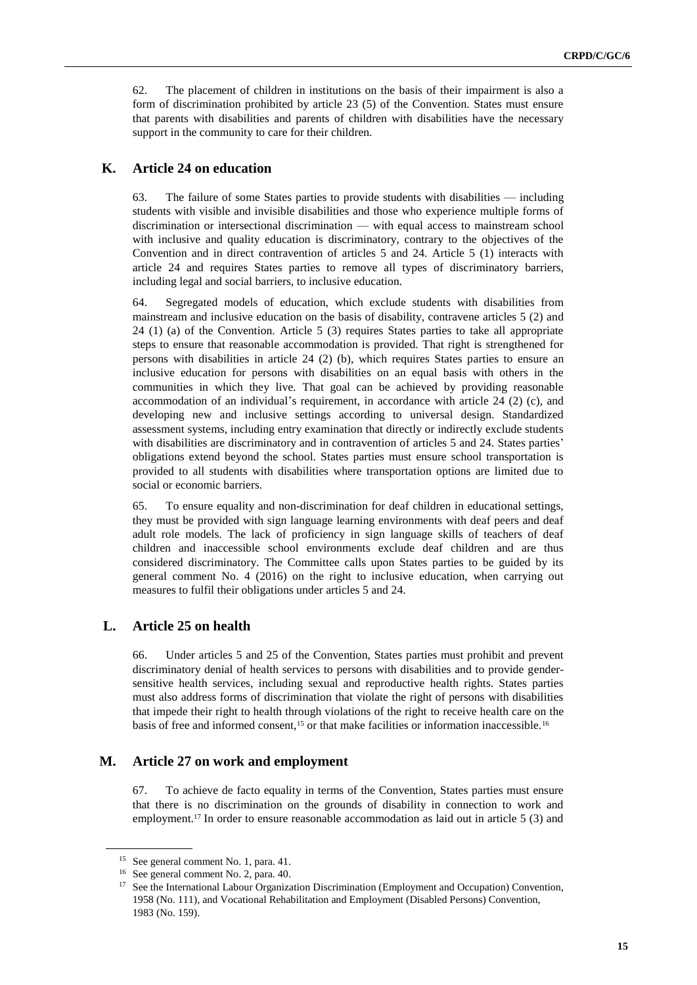62. The placement of children in institutions on the basis of their impairment is also a form of discrimination prohibited by article 23 (5) of the Convention. States must ensure that parents with disabilities and parents of children with disabilities have the necessary support in the community to care for their children.

#### **K. Article 24 on education**

63. The failure of some States parties to provide students with disabilities — including students with visible and invisible disabilities and those who experience multiple forms of discrimination or intersectional discrimination — with equal access to mainstream school with inclusive and quality education is discriminatory, contrary to the objectives of the Convention and in direct contravention of articles 5 and 24. Article 5 (1) interacts with article 24 and requires States parties to remove all types of discriminatory barriers, including legal and social barriers, to inclusive education.

64. Segregated models of education, which exclude students with disabilities from mainstream and inclusive education on the basis of disability, contravene articles 5 (2) and 24 (1) (a) of the Convention. Article 5 (3) requires States parties to take all appropriate steps to ensure that reasonable accommodation is provided. That right is strengthened for persons with disabilities in article 24 (2) (b), which requires States parties to ensure an inclusive education for persons with disabilities on an equal basis with others in the communities in which they live. That goal can be achieved by providing reasonable accommodation of an individual's requirement, in accordance with article 24 (2) (c), and developing new and inclusive settings according to universal design. Standardized assessment systems, including entry examination that directly or indirectly exclude students with disabilities are discriminatory and in contravention of articles 5 and 24. States parties' obligations extend beyond the school. States parties must ensure school transportation is provided to all students with disabilities where transportation options are limited due to social or economic barriers.

65. To ensure equality and non-discrimination for deaf children in educational settings, they must be provided with sign language learning environments with deaf peers and deaf adult role models. The lack of proficiency in sign language skills of teachers of deaf children and inaccessible school environments exclude deaf children and are thus considered discriminatory. The Committee calls upon States parties to be guided by its general comment No. 4 (2016) on the right to inclusive education, when carrying out measures to fulfil their obligations under articles 5 and 24.

#### **L. Article 25 on health**

66. Under articles 5 and 25 of the Convention, States parties must prohibit and prevent discriminatory denial of health services to persons with disabilities and to provide gendersensitive health services, including sexual and reproductive health rights. States parties must also address forms of discrimination that violate the right of persons with disabilities that impede their right to health through violations of the right to receive health care on the basis of free and informed consent,<sup>15</sup> or that make facilities or information inaccessible.<sup>16</sup>

#### **M. Article 27 on work and employment**

67. To achieve de facto equality in terms of the Convention, States parties must ensure that there is no discrimination on the grounds of disability in connection to work and employment.<sup>17</sup> In order to ensure reasonable accommodation as laid out in article  $5(3)$  and

<sup>15</sup> See general comment No. 1, para. 41.

<sup>16</sup> See general comment No. 2, para. 40.

<sup>&</sup>lt;sup>17</sup> See the International Labour Organization Discrimination (Employment and Occupation) Convention, 1958 (No. 111), and Vocational Rehabilitation and Employment (Disabled Persons) Convention, 1983 (No. 159).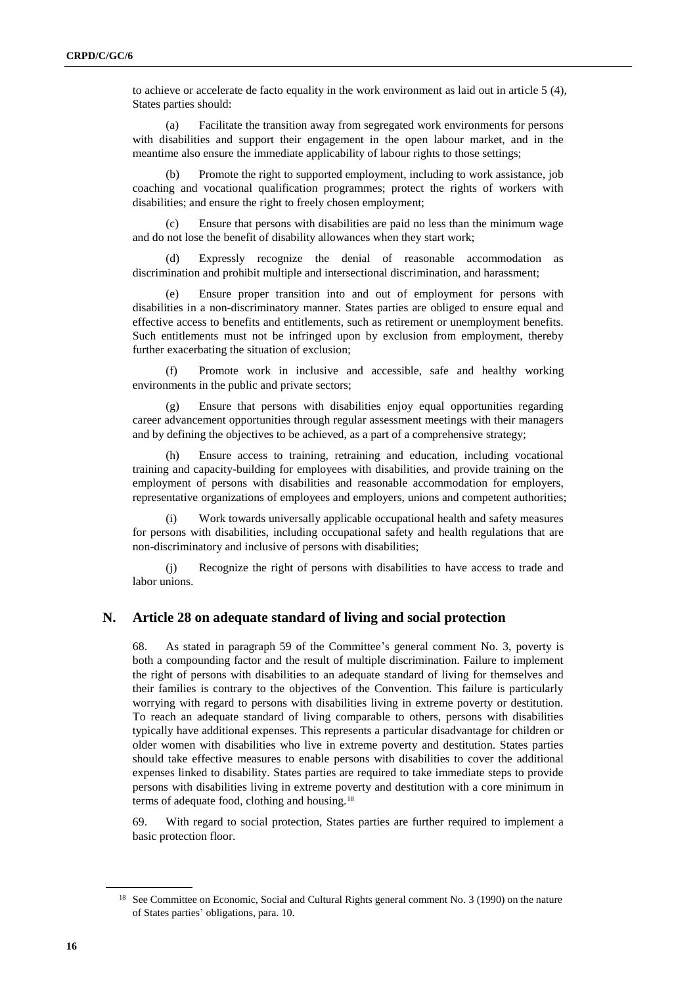to achieve or accelerate de facto equality in the work environment as laid out in article 5 (4), States parties should:

(a) Facilitate the transition away from segregated work environments for persons with disabilities and support their engagement in the open labour market, and in the meantime also ensure the immediate applicability of labour rights to those settings;

Promote the right to supported employment, including to work assistance, job coaching and vocational qualification programmes; protect the rights of workers with disabilities; and ensure the right to freely chosen employment;

(c) Ensure that persons with disabilities are paid no less than the minimum wage and do not lose the benefit of disability allowances when they start work;

(d) Expressly recognize the denial of reasonable accommodation as discrimination and prohibit multiple and intersectional discrimination, and harassment;

(e) Ensure proper transition into and out of employment for persons with disabilities in a non-discriminatory manner. States parties are obliged to ensure equal and effective access to benefits and entitlements, such as retirement or unemployment benefits. Such entitlements must not be infringed upon by exclusion from employment, thereby further exacerbating the situation of exclusion;

(f) Promote work in inclusive and accessible, safe and healthy working environments in the public and private sectors;

(g) Ensure that persons with disabilities enjoy equal opportunities regarding career advancement opportunities through regular assessment meetings with their managers and by defining the objectives to be achieved, as a part of a comprehensive strategy;

(h) Ensure access to training, retraining and education, including vocational training and capacity-building for employees with disabilities, and provide training on the employment of persons with disabilities and reasonable accommodation for employers, representative organizations of employees and employers, unions and competent authorities;

Work towards universally applicable occupational health and safety measures for persons with disabilities, including occupational safety and health regulations that are non-discriminatory and inclusive of persons with disabilities;

(j) Recognize the right of persons with disabilities to have access to trade and labor unions.

#### **N. Article 28 on adequate standard of living and social protection**

68. As stated in paragraph 59 of the Committee's general comment No. 3, poverty is both a compounding factor and the result of multiple discrimination. Failure to implement the right of persons with disabilities to an adequate standard of living for themselves and their families is contrary to the objectives of the Convention. This failure is particularly worrying with regard to persons with disabilities living in extreme poverty or destitution. To reach an adequate standard of living comparable to others, persons with disabilities typically have additional expenses. This represents a particular disadvantage for children or older women with disabilities who live in extreme poverty and destitution. States parties should take effective measures to enable persons with disabilities to cover the additional expenses linked to disability. States parties are required to take immediate steps to provide persons with disabilities living in extreme poverty and destitution with a core minimum in terms of adequate food, clothing and housing.<sup>18</sup>

69. With regard to social protection, States parties are further required to implement a basic protection floor.

<sup>&</sup>lt;sup>18</sup> See Committee on Economic, Social and Cultural Rights general comment No. 3 (1990) on the nature of States parties' obligations, para. 10.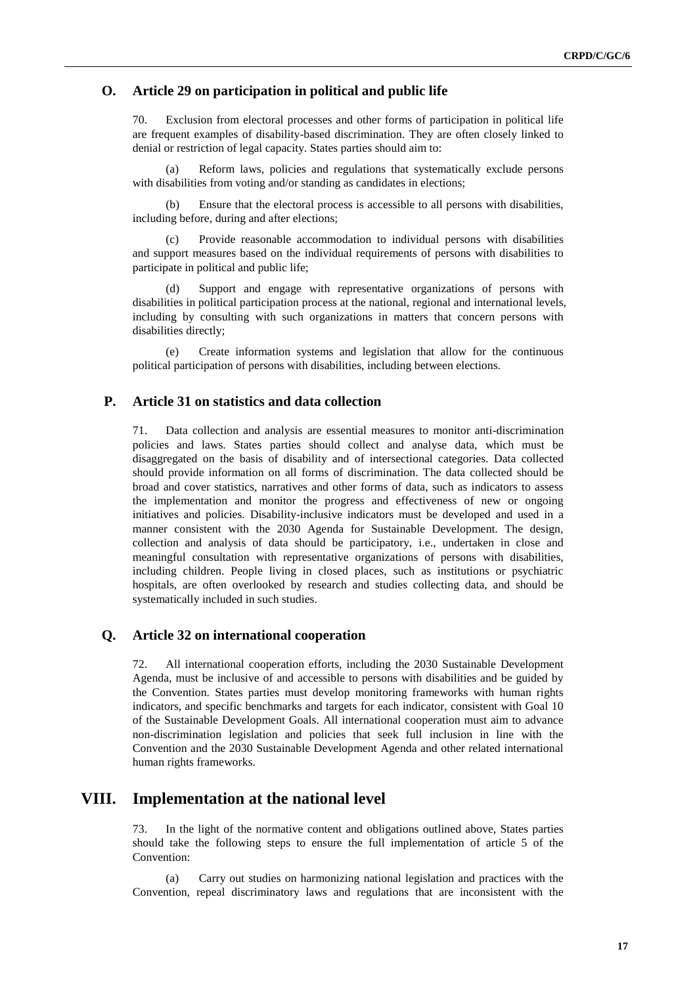#### **O. Article 29 on participation in political and public life**

70. Exclusion from electoral processes and other forms of participation in political life are frequent examples of disability-based discrimination. They are often closely linked to denial or restriction of legal capacity. States parties should aim to:

(a) Reform laws, policies and regulations that systematically exclude persons with disabilities from voting and/or standing as candidates in elections;

(b) Ensure that the electoral process is accessible to all persons with disabilities, including before, during and after elections;

(c) Provide reasonable accommodation to individual persons with disabilities and support measures based on the individual requirements of persons with disabilities to participate in political and public life;

Support and engage with representative organizations of persons with disabilities in political participation process at the national, regional and international levels, including by consulting with such organizations in matters that concern persons with disabilities directly;

(e) Create information systems and legislation that allow for the continuous political participation of persons with disabilities, including between elections.

#### **P. Article 31 on statistics and data collection**

71. Data collection and analysis are essential measures to monitor anti-discrimination policies and laws. States parties should collect and analyse data, which must be disaggregated on the basis of disability and of intersectional categories. Data collected should provide information on all forms of discrimination. The data collected should be broad and cover statistics, narratives and other forms of data, such as indicators to assess the implementation and monitor the progress and effectiveness of new or ongoing initiatives and policies. Disability-inclusive indicators must be developed and used in a manner consistent with the 2030 Agenda for Sustainable Development. The design, collection and analysis of data should be participatory, i.e., undertaken in close and meaningful consultation with representative organizations of persons with disabilities, including children. People living in closed places, such as institutions or psychiatric hospitals, are often overlooked by research and studies collecting data, and should be systematically included in such studies.

#### **Q. Article 32 on international cooperation**

72. All international cooperation efforts, including the 2030 Sustainable Development Agenda, must be inclusive of and accessible to persons with disabilities and be guided by the Convention. States parties must develop monitoring frameworks with human rights indicators, and specific benchmarks and targets for each indicator, consistent with Goal 10 of the Sustainable Development Goals. All international cooperation must aim to advance non-discrimination legislation and policies that seek full inclusion in line with the Convention and the 2030 Sustainable Development Agenda and other related international human rights frameworks.

#### **VIII. Implementation at the national level**

73. In the light of the normative content and obligations outlined above, States parties should take the following steps to ensure the full implementation of article 5 of the Convention:

(a) Carry out studies on harmonizing national legislation and practices with the Convention, repeal discriminatory laws and regulations that are inconsistent with the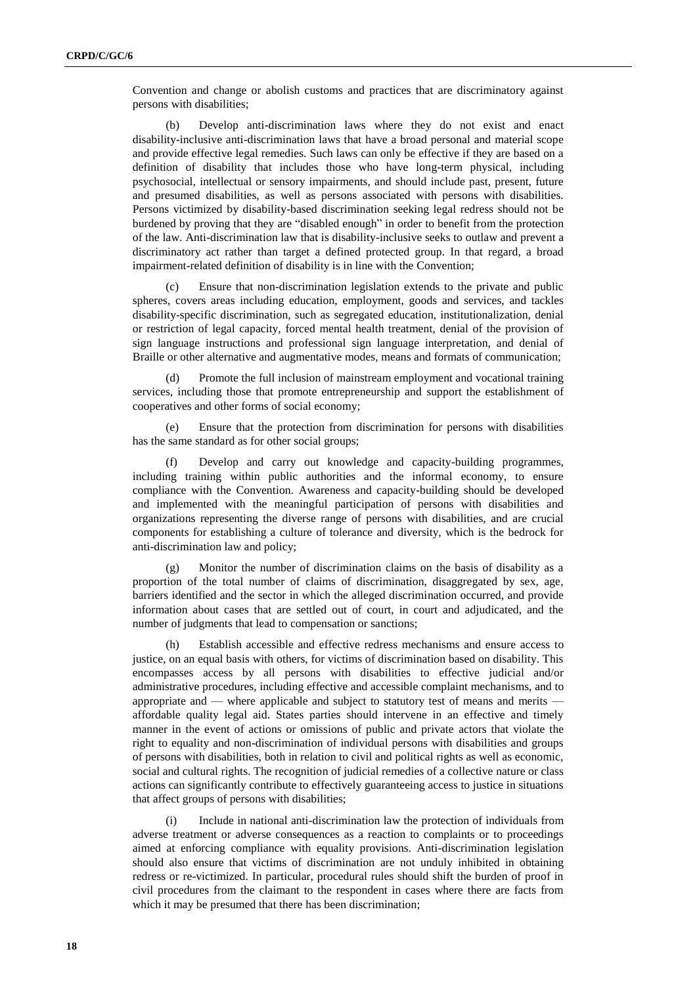Convention and change or abolish customs and practices that are discriminatory against persons with disabilities;

(b) Develop anti-discrimination laws where they do not exist and enact disability-inclusive anti-discrimination laws that have a broad personal and material scope and provide effective legal remedies. Such laws can only be effective if they are based on a definition of disability that includes those who have long-term physical, including psychosocial, intellectual or sensory impairments, and should include past, present, future and presumed disabilities, as well as persons associated with persons with disabilities. Persons victimized by disability-based discrimination seeking legal redress should not be burdened by proving that they are "disabled enough" in order to benefit from the protection of the law. Anti-discrimination law that is disability-inclusive seeks to outlaw and prevent a discriminatory act rather than target a defined protected group. In that regard, a broad impairment-related definition of disability is in line with the Convention;

(c) Ensure that non-discrimination legislation extends to the private and public spheres, covers areas including education, employment, goods and services, and tackles disability-specific discrimination, such as segregated education, institutionalization, denial or restriction of legal capacity, forced mental health treatment, denial of the provision of sign language instructions and professional sign language interpretation, and denial of Braille or other alternative and augmentative modes, means and formats of communication;

(d) Promote the full inclusion of mainstream employment and vocational training services, including those that promote entrepreneurship and support the establishment of cooperatives and other forms of social economy;

(e) Ensure that the protection from discrimination for persons with disabilities has the same standard as for other social groups;

(f) Develop and carry out knowledge and capacity-building programmes, including training within public authorities and the informal economy, to ensure compliance with the Convention. Awareness and capacity-building should be developed and implemented with the meaningful participation of persons with disabilities and organizations representing the diverse range of persons with disabilities, and are crucial components for establishing a culture of tolerance and diversity, which is the bedrock for anti-discrimination law and policy;

(g) Monitor the number of discrimination claims on the basis of disability as a proportion of the total number of claims of discrimination, disaggregated by sex, age, barriers identified and the sector in which the alleged discrimination occurred, and provide information about cases that are settled out of court, in court and adjudicated, and the number of judgments that lead to compensation or sanctions;

(h) Establish accessible and effective redress mechanisms and ensure access to justice, on an equal basis with others, for victims of discrimination based on disability. This encompasses access by all persons with disabilities to effective judicial and/or administrative procedures, including effective and accessible complaint mechanisms, and to appropriate and — where applicable and subject to statutory test of means and merits affordable quality legal aid. States parties should intervene in an effective and timely manner in the event of actions or omissions of public and private actors that violate the right to equality and non-discrimination of individual persons with disabilities and groups of persons with disabilities, both in relation to civil and political rights as well as economic, social and cultural rights. The recognition of judicial remedies of a collective nature or class actions can significantly contribute to effectively guaranteeing access to justice in situations that affect groups of persons with disabilities;

(i) Include in national anti-discrimination law the protection of individuals from adverse treatment or adverse consequences as a reaction to complaints or to proceedings aimed at enforcing compliance with equality provisions. Anti-discrimination legislation should also ensure that victims of discrimination are not unduly inhibited in obtaining redress or re-victimized. In particular, procedural rules should shift the burden of proof in civil procedures from the claimant to the respondent in cases where there are facts from which it may be presumed that there has been discrimination;